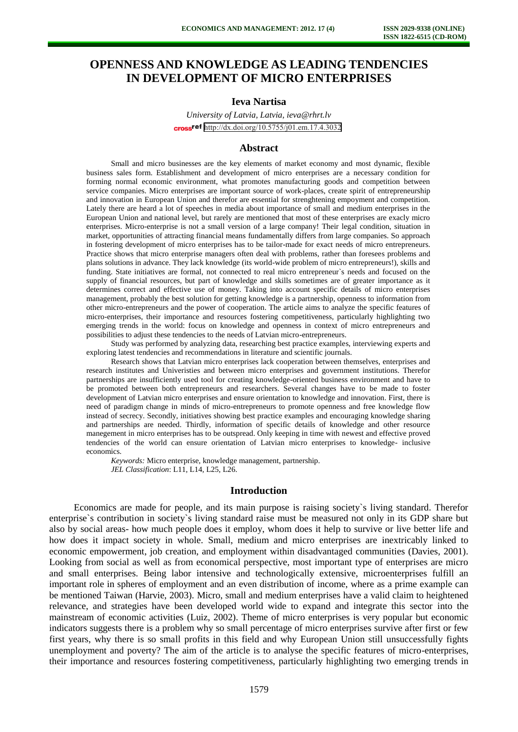# **OPENNESS AND KNOWLEDGE AS LEADING TENDENCIES IN DEVELOPMENT OF MICRO ENTERPRISES**

# **Ieva Nartisa**

*University of Latvia, Latvia, ieva@rhrt.lv*  cross<sup>ref</sup> <http://dx.doi.org/10.5755/j01.em.17.4.3032>

#### **Abstract**

Small and micro businesses are the key elements of market economy and most dynamic, flexible business sales form. Establishment and development of micro enterprises are a necessary condition for forming normal economic environment, what promotes manufacturing goods and competition between service companies. Micro enterprises are important source of work-places, create spirit of entrepreneurship and innovation in European Union and therefor are essential for strenghtening empoyment and competition. Lately there are heard a lot of speeches in media about importance of small and medium enterprises in the European Union and national level, but rarely are mentioned that most of these enterprises are exacly micro enterprises. Micro-enterprise is not a small version of a large company! Their legal condition, situation in market, opportunities of attracting financial means fundamentally differs from large companies. So approach in fostering development of micro enterprises has to be tailor-made for exact needs of micro entrepreneurs. Practice shows that micro enterprise managers often deal with problems, rather than foresees problems and plans solutions in advance. They lack knowledge (its world-wide problem of micro entrepreneurs!), skills and funding. State initiatives are formal, not connected to real micro entrepreneur`s needs and focused on the supply of financial resources, but part of knowledge and skills sometimes are of greater importance as it determines correct and effective use of money. Taking into account specific details of micro enterprises management, probably the best solution for getting knowledge is a partnership, openness to information from other micro-entrepreneurs and the power of cooperation. The article aims to analyze the specific features of micro-enterprises, their importance and resources fostering competitiveness, particularly highlighting two emerging trends in the world: focus on knowledge and openness in context of micro entrepreneurs and possibilities to adjust these tendencies to the needs of Latvian micro-entrepreneurs.

Study was performed by analyzing data, researching best practice examples, interviewing experts and exploring latest tendencies and recommendations in literature and scientific journals.

Research shows that Latvian micro enterprises lack cooperation between themselves, enterprises and research institutes and Univeristies and between micro enterprises and government institutions. Therefor partnerships are insufficiently used tool for creating knowledge-oriented business environment and have to be promoted between both entrepreneurs and researchers. Several changes have to be made to foster development of Latvian micro enterprises and ensure orientation to knowledge and innovation. First, there is need of paradigm change in minds of micro-entrepreneurs to promote openness and free knowledge flow instead of secrecy. Secondly, initiatives showing best practice examples and encouraging knowledge sharing and partnerships are needed. Thirdly, information of specific details of knowledge and other resource manegement in micro enterprises has to be outspread. Only keeping in time with newest and effective proved tendencies of the world can ensure orientation of Latvian micro enterprises to knowledge- inclusive economics.

*Keywords:* Micro enterprise, knowledge management, partnership. *JEL Classification*: L11, L14, L25, L26.

### **Introduction**

Economics are made for people, and its main purpose is raising society`s living standard. Therefor enterprise`s contribution in society`s living standard raise must be measured not only in its GDP share but also by social areas- how much people does it employ, whom does it help to survive or live better life and how does it impact society in whole. Small, medium and micro enterprises are inextricably linked to economic empowerment, job creation, and employment within disadvantaged communities (Davies, 2001). Looking from social as well as from economical perspective, most important type of enterprises are micro and small enterprises. Being labor intensive and technologically extensive, microenterprises fulfill an important role in spheres of employment and an even distribution of income, where as a prime example can be mentioned Taiwan (Harvie, 2003). Micro, small and medium enterprises have a valid claim to heightened relevance, and strategies have been developed world wide to expand and integrate this sector into the mainstream of economic activities (Luiz, 2002). Theme of micro enterprises is very popular but economic indicators suggests there is a problem why so small percentage of micro enterprises survive after first or few first years, why there is so small profits in this field and why European Union still unsuccessfully fights unemployment and poverty? The aim of the article is to analyse the specific features of micro-enterprises, their importance and resources fostering competitiveness, particularly highlighting two emerging trends in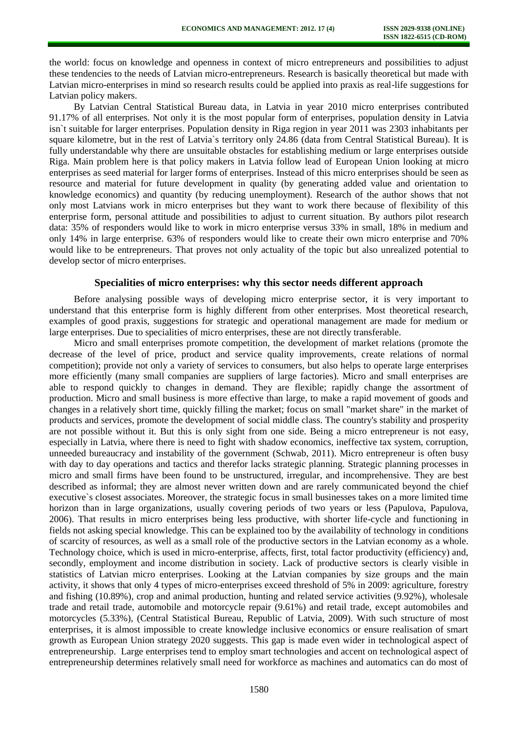the world: focus on knowledge and openness in context of micro entrepreneurs and possibilities to adjust these tendencies to the needs of Latvian micro-entrepreneurs. Research is basically theoretical but made with Latvian micro-enterprises in mind so research results could be applied into praxis as real-life suggestions for Latvian policy makers.

By Latvian Central Statistical Bureau data, in Latvia in year 2010 micro enterprises contributed 91.17% of all enterprises. Not only it is the most popular form of enterprises, population density in Latvia isn`t suitable for larger enterprises. Population density in Riga region in year 2011 was 2303 inhabitants per square kilometre, but in the rest of Latvia`s territory only 24.86 (data from Central Statistical Bureau). It is fully understandable why there are unsuitable obstacles for establishing medium or large enterprises outside Riga. Main problem here is that policy makers in Latvia follow lead of European Union looking at micro enterprises as seed material for larger forms of enterprises. Instead of this micro enterprises should be seen as resource and material for future development in quality (by generating added value and orientation to knowledge economics) and quantity (by reducing unemployment). Research of the author shows that not only most Latvians work in micro enterprises but they want to work there because of flexibility of this enterprise form, personal attitude and possibilities to adjust to current situation. By authors pilot research data: 35% of responders would like to work in micro enterprise versus 33% in small, 18% in medium and only 14% in large enterprise. 63% of responders would like to create their own micro enterprise and 70% would like to be entrepreneurs. That proves not only actuality of the topic but also unrealized potential to develop sector of micro enterprises.

#### **Specialities of micro enterprises: why this sector needs different approach**

Before analysing possible ways of developing micro enterprise sector, it is very important to understand that this enterprise form is highly different from other enterprises. Most theoretical research, examples of good praxis, suggestions for strategic and operational management are made for medium or large enterprises. Due to specialities of micro enterprises, these are not directly transferable.

Micro and small enterprises promote competition, the development of market relations (promote the decrease of the level of price, product and service quality improvements, create relations of normal competition); provide not only a variety of services to consumers, but also helps to operate large enterprises more efficiently (many small companies are suppliers of large factories). Micro and small enterprises are able to respond quickly to changes in demand. They are flexible; rapidly change the assortment of production. Micro and small business is more effective than large, to make a rapid movement of goods and changes in a relatively short time, quickly filling the market; focus on small "market share" in the market of products and services, promote the development of social middle class. The country's stability and prosperity are not possible without it. But this is only sight from one side. Being a micro entrepreneur is not easy, especially in Latvia, where there is need to fight with shadow economics, ineffective tax system, corruption, unneeded bureaucracy and instability of the government (Schwab, 2011). Micro entrepreneur is often busy with day to day operations and tactics and therefor lacks strategic planning. Strategic planning processes in micro and small firms have been found to be unstructured, irregular, and incomprehensive. They are best described as informal; they are almost never written down and are rarely communicated beyond the chief executive`s closest associates. Moreover, the strategic focus in small businesses takes on a more limited time horizon than in large organizations, usually covering periods of two years or less (Papulova, Papulova, 2006). That results in micro enterprises being less productive, with shorter life-cycle and functioning in fields not asking special knowledge. This can be explained too by the availability of technology in conditions of scarcity of resources, as well as a small role of the productive sectors in the Latvian economy as a whole. Technology choice, which is used in micro-enterprise, affects, first, total factor productivity (efficiency) and, secondly, employment and income distribution in society. Lack of productive sectors is clearly visible in statistics of Latvian micro enterprises. Looking at the Latvian companies by size groups and the main activity, it shows that only 4 types of micro-enterprises exceed threshold of 5% in 2009: agriculture, forestry and fishing (10.89%), crop and animal production, hunting and related service activities (9.92%), wholesale trade and retail trade, automobile and motorcycle repair (9.61%) and retail trade, except automobiles and motorcycles (5.33%), (Central Statistical Bureau, Republic of Latvia, 2009). With such structure of most enterprises, it is almost impossible to create knowledge inclusive economics or ensure realisation of smart growth as European Union strategy 2020 suggests. This gap is made even wider in technological aspect of entrepreneurship. Large enterprises tend to employ smart technologies and accent on technological aspect of entrepreneurship determines relatively small need for workforce as machines and automatics can do most of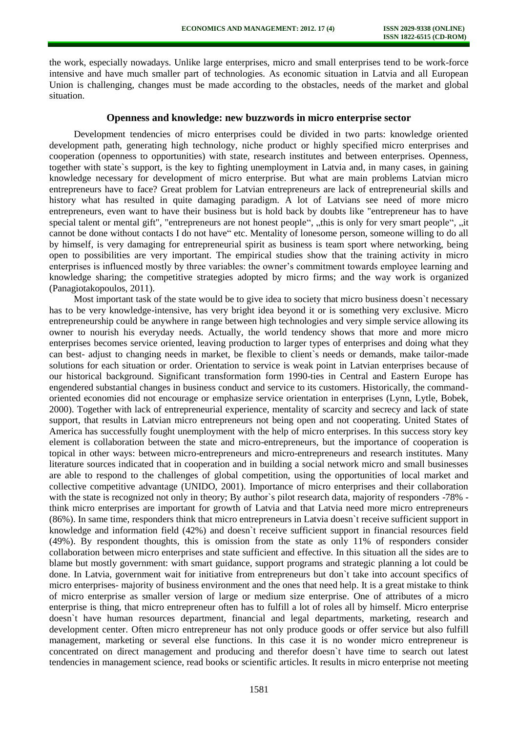the work, especially nowadays. Unlike large enterprises, micro and small enterprises tend to be work-force intensive and have much smaller part of technologies. As economic situation in Latvia and all European Union is challenging, changes must be made according to the obstacles, needs of the market and global situation.

#### **Openness and knowledge: new buzzwords in micro enterprise sector**

Development tendencies of micro enterprises could be divided in two parts: knowledge oriented development path, generating high technology, niche product or highly specified micro enterprises and cooperation (openness to opportunities) with state, research institutes and between enterprises. Openness, together with state`s support, is the key to fighting unemployment in Latvia and, in many cases, in gaining knowledge necessary for development of micro enterprise. But what are main problems Latvian micro entrepreneurs have to face? Great problem for Latvian entrepreneurs are lack of entrepreneurial skills and history what has resulted in quite damaging paradigm. A lot of Latvians see need of more micro entrepreneurs, even want to have their business but is hold back by doubts like "entrepreneur has to have special talent or mental gift", "entrepreneurs are not honest people", "this is only for very smart people", "it cannot be done without contacts I do not have" etc. Mentality of lonesome person, someone willing to do all by himself, is very damaging for entrepreneurial spirit as business is team sport where networking, being open to possibilities are very important. The empirical studies show that the training activity in micro enterprises is influenced mostly by three variables: the owner's commitment towards employee learning and knowledge sharing; the competitive strategies adopted by micro firms; and the way work is organized (Panagiotakopoulos, 2011).

Most important task of the state would be to give idea to society that micro business doesn`t necessary has to be very knowledge-intensive, has very bright idea beyond it or is something very exclusive. Micro entrepreneurship could be anywhere in range between high technologies and very simple service allowing its owner to nourish his everyday needs. Actually, the world tendency shows that more and more micro enterprises becomes service oriented, leaving production to larger types of enterprises and doing what they can best- adjust to changing needs in market, be flexible to client`s needs or demands, make tailor-made solutions for each situation or order. Orientation to service is weak point in Latvian enterprises because of our historical background. Significant transformation form 1990-ties in Central and Eastern Europe has engendered substantial changes in business conduct and service to its customers. Historically, the commandoriented economies did not encourage or emphasize service orientation in enterprises (Lynn, Lytle, Bobek, 2000). Together with lack of entrepreneurial experience, mentality of scarcity and secrecy and lack of state support, that results in Latvian micro entrepreneurs not being open and not cooperating. United States of America has successfully fought unemployment with the help of micro enterprises. In this success story key element is collaboration between the state and micro-entrepreneurs, but the importance of cooperation is topical in other ways: between micro-entrepreneurs and micro-entrepreneurs and research institutes. Many literature sources indicated that in cooperation and in building a social network micro and small businesses are able to respond to the challenges of global competition, using the opportunities of local market and collective competitive advantage (UNIDO, 2001). Importance of micro enterprises and their collaboration with the state is recognized not only in theory; By author's pilot research data, majority of responders -78% think micro enterprises are important for growth of Latvia and that Latvia need more micro entrepreneurs (86%). In same time, responders think that micro entrepreneurs in Latvia doesn`t receive sufficient support in knowledge and information field (42%) and doesn`t receive sufficient support in financial resources field (49%). By respondent thoughts, this is omission from the state as only 11% of responders consider collaboration between micro enterprises and state sufficient and effective. In this situation all the sides are to blame but mostly government: with smart guidance, support programs and strategic planning a lot could be done. In Latvia, government wait for initiative from entrepreneurs but don`t take into account specifics of micro enterprises- majority of business environment and the ones that need help. It is a great mistake to think of micro enterprise as smaller version of large or medium size enterprise. One of attributes of a micro enterprise is thing, that micro entrepreneur often has to fulfill a lot of roles all by himself. Micro enterprise doesn`t have human resources department, financial and legal departments, marketing, research and development center. Often micro entrepreneur has not only produce goods or offer service but also fulfill management, marketing or several else functions. In this case it is no wonder micro entrepreneur is concentrated on direct management and producing and therefor doesn`t have time to search out latest tendencies in management science, read books or scientific articles. It results in micro enterprise not meeting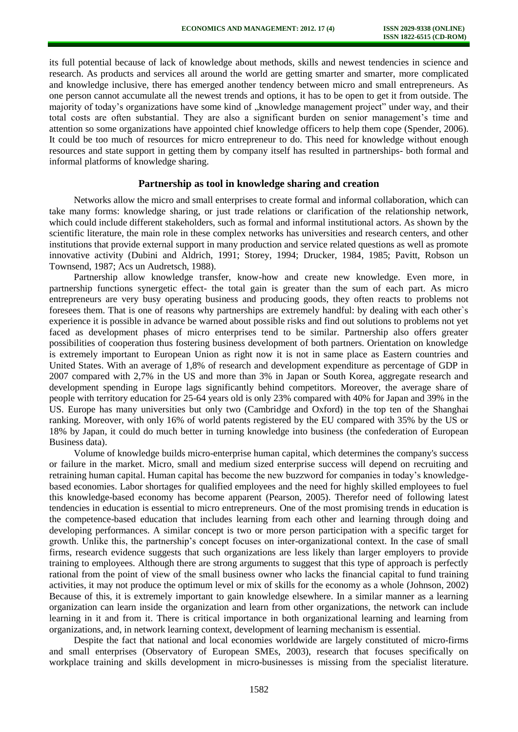its full potential because of lack of knowledge about methods, skills and newest tendencies in science and research. As products and services all around the world are getting smarter and smarter, more complicated and knowledge inclusive, there has emerged another tendency between micro and small entrepreneurs. As one person cannot accumulate all the newest trends and options, it has to be open to get it from outside. The majority of today's organizations have some kind of "knowledge management project" under way, and their total costs are often substantial. They are also a significant burden on senior management's time and attention so some organizations have appointed chief knowledge officers to help them cope (Spender, 2006). It could be too much of resources for micro entrepreneur to do. This need for knowledge without enough resources and state support in getting them by company itself has resulted in partnerships- both formal and informal platforms of knowledge sharing.

## **Partnership as tool in knowledge sharing and creation**

Networks allow the micro and small enterprises to create formal and informal collaboration, which can take many forms: knowledge sharing, or just trade relations or clarification of the relationship network, which could include different stakeholders, such as formal and informal institutional actors. As shown by the scientific literature, the main role in these complex networks has universities and research centers, and other institutions that provide external support in many production and service related questions as well as promote innovative activity (Dubini and Aldrich, 1991; Storey, 1994; Drucker, 1984, 1985; Pavitt, Robson un Townsend, 1987; Acs un Audretsch, 1988).

Partnership allow knowledge transfer, know-how and create new knowledge. Even more, in partnership functions synergetic effect- the total gain is greater than the sum of each part. As micro entrepreneurs are very busy operating business and producing goods, they often reacts to problems not foresees them. That is one of reasons why partnerships are extremely handful: by dealing with each other`s experience it is possible in advance be warned about possible risks and find out solutions to problems not yet faced as development phases of micro enterprises tend to be similar. Partnership also offers greater possibilities of cooperation thus fostering business development of both partners. Orientation on knowledge is extremely important to European Union as right now it is not in same place as Eastern countries and United States. With an average of 1,8% of research and development expenditure as percentage of GDP in 2007 compared with 2,7% in the US and more than 3% in Japan or South Korea, aggregate research and development spending in Europe lags significantly behind competitors. Moreover, the average share of people with territory education for 25-64 years old is only 23% compared with 40% for Japan and 39% in the US. Europe has many universities but only two (Cambridge and Oxford) in the top ten of the Shanghai ranking. Moreover, with only 16% of world patents registered by the EU compared with 35% by the US or 18% by Japan, it could do much better in turning knowledge into business (the confederation of European Business data).

Volume of knowledge builds micro-enterprise human capital, which determines the company's success or failure in the market. Micro, small and medium sized enterprise success will depend on recruiting and retraining human capital. Human capital has become the new buzzword for companies in today's knowledgebased economies. Labor shortages for qualified employees and the need for highly skilled employees to fuel this knowledge-based economy has become apparent (Pearson, 2005). Therefor need of following latest tendencies in education is essential to micro entrepreneurs. One of the most promising trends in education is the competence-based education that includes learning from each other and learning through doing and developing performances. A similar concept is two or more person participation with a specific target for growth. Unlike this, the partnership's concept focuses on inter-organizational context. In the case of small firms, research evidence suggests that such organizations are less likely than larger employers to provide training to employees. Although there are strong arguments to suggest that this type of approach is perfectly rational from the point of view of the small business owner who lacks the financial capital to fund training activities, it may not produce the optimum level or mix of skills for the economy as a whole (Johnson, 2002) Because of this, it is extremely important to gain knowledge elsewhere. In a similar manner as a learning organization can learn inside the organization and learn from other organizations, the network can include learning in it and from it. There is critical importance in both organizational learning and learning from organizations, and, in network learning context, development of learning mechanism is essential.

Despite the fact that national and local economies worldwide are largely constituted of micro-firms and small enterprises (Observatory of European SMEs, 2003), research that focuses specifically on workplace training and skills development in micro-businesses is missing from the specialist literature.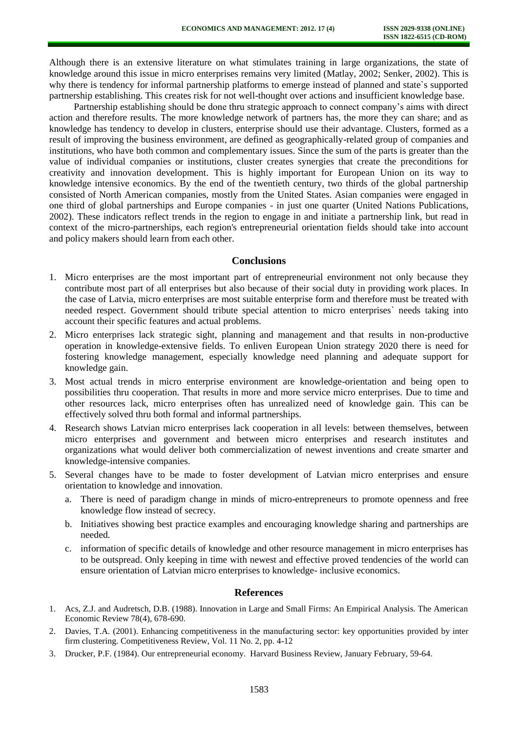Although there is an extensive literature on what stimulates training in large organizations, the state of knowledge around this issue in micro enterprises remains very limited (Matlay, 2002; Senker, 2002). This is why there is tendency for informal partnership platforms to emerge instead of planned and state`s supported partnership establishing. This creates risk for not well-thought over actions and insufficient knowledge base.

Partnership establishing should be done thru strategic approach to connect company's aims with direct action and therefore results. The more knowledge network of partners has, the more they can share; and as knowledge has tendency to develop in clusters, enterprise should use their advantage. Clusters, formed as a result of improving the business environment, are defined as geographically-related group of companies and institutions, who have both common and complementary issues. Since the sum of the parts is greater than the value of individual companies or institutions, cluster creates synergies that create the preconditions for creativity and innovation development. This is highly important for European Union on its way to knowledge intensive economics. By the end of the twentieth century, two thirds of the global partnership consisted of North American companies, mostly from the United States. Asian companies were engaged in one third of global partnerships and Europe companies - in just one quarter (United Nations Publications, 2002). These indicators reflect trends in the region to engage in and initiate a partnership link, but read in context of the micro-partnerships, each region's entrepreneurial orientation fields should take into account and policy makers should learn from each other.

#### **Conclusions**

- 1. Micro enterprises are the most important part of entrepreneurial environment not only because they contribute most part of all enterprises but also because of their social duty in providing work places. In the case of Latvia, micro enterprises are most suitable enterprise form and therefore must be treated with needed respect. Government should tribute special attention to micro enterprises` needs taking into account their specific features and actual problems.
- 2. Micro enterprises lack strategic sight, planning and management and that results in non-productive operation in knowledge-extensive fields. To enliven European Union strategy 2020 there is need for fostering knowledge management, especially knowledge need planning and adequate support for knowledge gain.
- 3. Most actual trends in micro enterprise environment are knowledge-orientation and being open to possibilities thru cooperation. That results in more and more service micro enterprises. Due to time and other resources lack, micro enterprises often has unrealized need of knowledge gain. This can be effectively solved thru both formal and informal partnerships.
- 4. Research shows Latvian micro enterprises lack cooperation in all levels: between themselves, between micro enterprises and government and between micro enterprises and research institutes and organizations what would deliver both commercialization of newest inventions and create smarter and knowledge-intensive companies.
- 5. Several changes have to be made to foster development of Latvian micro enterprises and ensure orientation to knowledge and innovation.
	- a. There is need of paradigm change in minds of micro-entrepreneurs to promote openness and free knowledge flow instead of secrecy.
	- b. Initiatives showing best practice examples and encouraging knowledge sharing and partnerships are needed.
	- c. information of specific details of knowledge and other resource management in micro enterprises has to be outspread. Only keeping in time with newest and effective proved tendencies of the world can ensure orientation of Latvian micro enterprises to knowledge- inclusive economics.

#### **References**

- 1. Acs, Z.J. and Audretsch, D.B. (1988). Innovation in Large and Small Firms: An Empirical Analysis. The American Economic Review 78(4), 678-690.
- 2. Davies, T.A. (2001). Enhancing competitiveness in the manufacturing sector: key opportunities provided by inter firm clustering. Competitiveness Review, Vol. 11 No. 2, pp. 4-12
- 3. Drucker, P.F. (1984). Our entrepreneurial economy. Harvard Business Review, January February, 59-64.